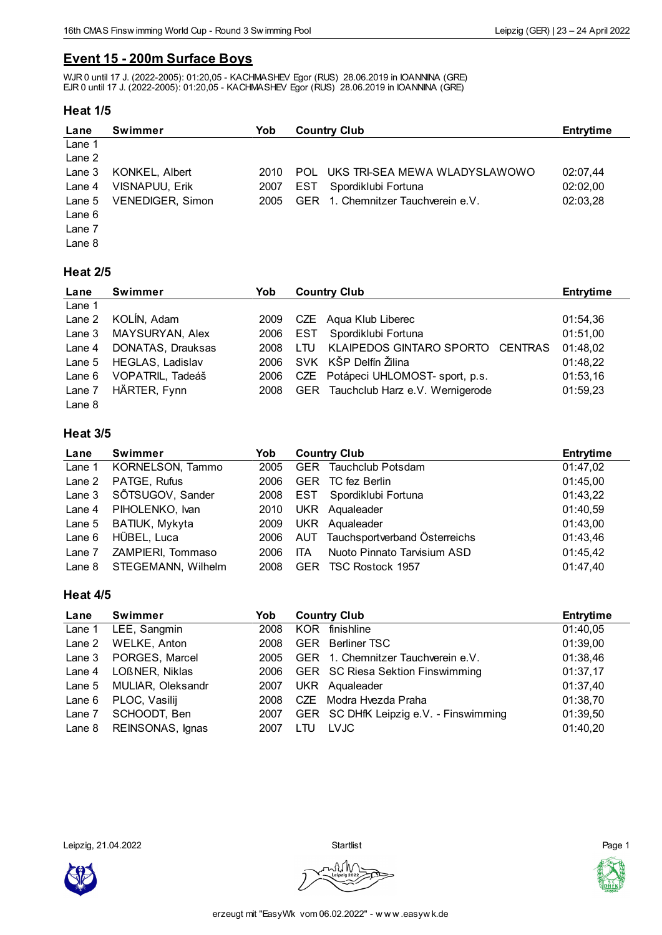## **Event 15 - 200m Surface Boys**

WJR 0 until 17 J. (2022-2005): 01:20,05 - KACHMASHEV Egor (RUS) 28.06.2019 in IOANNINA (GRE) EJR 0 until 17 J. (2022-2005): 01:20,05 - KACHMASHEV Egor (RUS) 28.06.2019 in IOANNINA (GRE)

#### **Heat 1/5**

| Lane     | <b>Swimmer</b>        | Yob  | <b>Country Club</b>                  | Entrytime |
|----------|-----------------------|------|--------------------------------------|-----------|
| Lane 1   |                       |      |                                      |           |
| Lane 2   |                       |      |                                      |           |
| Lane $3$ | KONKEL, Albert        | 2010 | UKS TRI-SEA MEWA WLADYSLAWOWO<br>POL | 02:07.44  |
| Lane 4   | <b>VISNAPUU, Erik</b> | 2007 | EST.<br>Spordiklubi Fortuna          | 02:02.00  |
| Lane 5   | VENEDIGER, Simon      | 2005 | GER 1. Chemnitzer Tauchverein e.V.   | 02:03,28  |
| Lane 6   |                       |      |                                      |           |
| Lane 7   |                       |      |                                      |           |
| Lane 8   |                       |      |                                      |           |

# **Heat 2/5**

| Lane     | <b>Swimmer</b>    | Yob  | <b>Country Club</b>                                      | <b>Entrytime</b> |
|----------|-------------------|------|----------------------------------------------------------|------------------|
| Lane 1   |                   |      |                                                          |                  |
| Lane 2   | KOLÍN, Adam       | 2009 | CZE Aqua Klub Liberec                                    | 01:54,36         |
| Lane 3   | MAYSURYAN, Alex   | 2006 | Spordiklubi Fortuna<br>EST                               | 01:51,00         |
| Lane 4   | DONATAS, Drauksas | 2008 | <b>KLAIPEDOS GINTARO SPORTO</b><br><b>CENTRAS</b><br>LTU | 01:48,02         |
| Lane $5$ | HEGLAS, Ladislav  | 2006 | SVK KŠP Delfín Žilina                                    | 01:48,22         |
| Lane $6$ | VOPATRIL, Tadeáš  | 2006 | CZE Potápeci UHLOMOST- sport, p.s.                       | 01:53,16         |
| Lane 7   | HÄRTER, Fynn      | 2008 | Tauchclub Harz e.V. Wernigerode<br><b>GER</b>            | 01:59,23         |
| Lane 8   |                   |      |                                                          |                  |

#### **Heat 3/5**

| Lane     | <b>Swimmer</b>     | Yob  | <b>Country Club</b>                | <b>Entrytime</b> |
|----------|--------------------|------|------------------------------------|------------------|
| Lane 1   | KORNELSON, Tammo   | 2005 | Tauchclub Potsdam<br><b>GER</b>    | 01:47,02         |
| Lane 2   | PATGE, Rufus       | 2006 | TC fez Berlin<br><b>GER</b>        | 01:45,00         |
| Lane 3   | SÕTSUGOV, Sander   | 2008 | Spordiklubi Fortuna<br>EST         | 01:43,22         |
| Lane 4   | PIHOLENKO, Ivan    | 2010 | UKR Aqualeader                     | 01:40,59         |
| Lane 5   | BATIUK, Mykyta     | 2009 | UKR Aqualeader                     | 01:43,00         |
| Lane $6$ | HÜBEL, Luca        | 2006 | AUT Tauchsportverband Österreichs  | 01:43,46         |
| Lane 7   | ZAMPIERI, Tommaso  | 2006 | Nuoto Pinnato Tarvisium ASD<br>ITA | 01:45,42         |
| Lane 8   | STEGEMANN, Wilhelm | 2008 | TSC Rostock 1957<br><b>GER</b>     | 01:47,40         |

#### **Heat 4/5**

| Lane     | Swimmer           | Yob  | <b>Country Club</b>                     | <b>Entrytime</b> |
|----------|-------------------|------|-----------------------------------------|------------------|
| Lane 1   | LEE, Sangmin      | 2008 | finishline<br>KOR.                      | 01:40,05         |
| Lane 2   | WELKE, Anton      | 2008 | Berliner TSC<br><b>GER</b>              | 01:39,00         |
| Lane 3   | PORGES, Marcel    | 2005 | GER 1. Chemnitzer Tauchverein e.V.      | 01:38,46         |
| Lane 4   | LOßNER, Niklas    | 2006 | <b>GER</b> SC Riesa Sektion Finswimming | 01:37,17         |
| Lane $5$ | MULIAR, Oleksandr | 2007 | UKR Aqualeader                          | 01:37,40         |
| Lane 6   | PLOC, Vasilij     | 2008 | Modra Hvezda Praha<br>CZE               | 01:38,70         |
| Lane 7   | SCHOODT, Ben      | 2007 | GER SC DHfK Leipzig e.V. - Finswimming  | 01:39,50         |
| Lane 8   | REINSONAS, Ignas  | 2007 | <b>LVJC</b><br>LTU                      | 01:40,20         |

Leipzig, 21.04.2022 Startlist Page 1